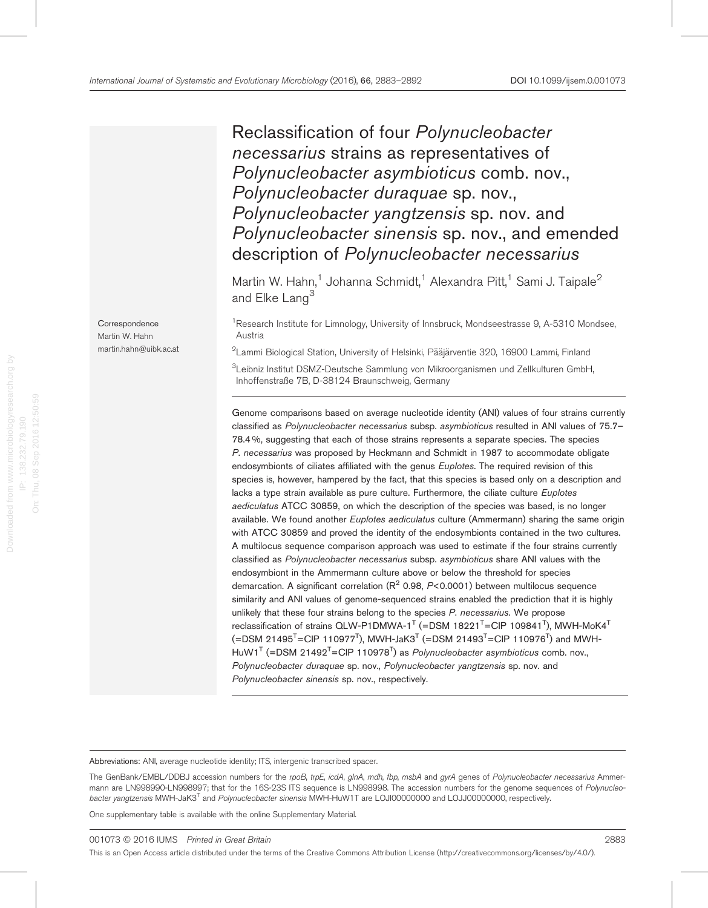# Reclassification of four Polynucleobacter necessarius strains as representatives of Polynucleobacter asymbioticus comb. nov., Polynucleobacter duraquae sp. nov., Polynucleobacter yangtzensis sp. nov. and Polynucleobacter sinensis sp. nov., and emended description of Polynucleobacter necessarius

Martin W. Hahn,<sup>1</sup> Johanna Schmidt,<sup>1</sup> Alexandra Pitt,<sup>1</sup> Sami J. Taipale<sup>2</sup> and Elke Lang<sup>3</sup>

<sup>1</sup>Research Institute for Limnology, University of Innsbruck, Mondseestrasse 9, A-5310 Mondsee, Austria

 $^2$ Lammi Biological Station, University of Helsinki, Pääjärventie 320, 16900 Lammi, Finland

 ${}^{3}$ Leibniz Institut DSMZ-Deutsche Sammlung von Mikroorganismen und Zellkulturen GmbH, Inhoffenstraße 7B, D-38124 Braunschweig, Germany

Genome comparisons based on average nucleotide identity (ANI) values of four strains currently classified as [Polynucleobacter necessarius](doi:10.1601/nm.14569) subsp. [asymbioticus](doi:10.1601/nm.14569) resulted in ANI values of 75.7-78.4 %, suggesting that each of those strains represents a separate species. The species [P](doi:10.1601/nm.1670). [necessarius](doi:10.1601/nm.1670) was proposed by Heckmann and Schmidt in 1987 to accommodate obligate endosymbionts of ciliates affiliated with the genus Euplotes. The required revision of this species is, however, hampered by the fact, that this species is based only on a description and lacks a type strain available as pure culture. Furthermore, the ciliate culture Euplotes aediculatus ATCC 30859, on which the description of the species was based, is no longer available. We found another Euplotes aediculatus culture (Ammermann) sharing the same origin with ATCC 30859 and proved the identity of the endosymbionts contained in the two cultures. A multilocus sequence comparison approach was used to estimate if the four strains currently classified as Polynucleobacter necessarius subsp. asymbioticus share ANI values with the endosymbiont in the Ammermann culture above or below the threshold for species demarcation. A significant correlation ( $R^2$  0.98, P<0.0001) between multilocus sequence similarity and ANI values of genome-sequenced strains enabled the prediction that it is highly unlikely that these four strains belong to the species [P](doi:10.1601/nm.1670). [necessarius](doi:10.1601/nm.1670). We propose reclassification of strains QLW-P1DMWA-1<sup>T</sup> (=DSM 18221<sup>T</sup>=CIP 109841<sup>T</sup>), MWH-MoK4<sup>T</sup> (=DSM 21495 $^{\mathsf{T}}$ =CIP 110977 $^{\mathsf{T}}$ ), MWH-JaK3 $^{\mathsf{T}}$  (=DSM 21493 $^{\mathsf{T}}$ =CIP 110976 $^{\mathsf{T}}$ ) and MWH- $H$ uW1<sup>T</sup> (=DSM 21492<sup>T</sup>=CIP 110978<sup>T</sup>) as *Polynucleobacter asymbioticus* comb. nov., Polynucleobacter duraquae sp. nov., Polynucleobacter yangtzensis sp. nov. and Polynucleobacter sinensis sp. nov., respectively.

Abbreviations: ANI, average nucleotide identity; ITS, intergenic transcribed spacer.

The GenBank/EMBL/DDBJ accession numbers for the rpoB, trpE, icdA, glnA, mdh, fbp, msbA and gyrA genes of Polynucleobacter necessarius Ammermann are LN998990-LN998997; that for the 16S-23S ITS sequence is LN998998. The accession numbers for the genome sequences of Polynucleobacter yangtzensis MWH-JaK3<sup>T</sup> and *Polynucleobacter sinensis* MWH-HuW1T are LOJI00000000 and LOJJ0000000, respectively.

This is an Open Access article distributed under the terms of the Creative Commons Attribution License ([http://creativecommons.org/licenses/by/4.0/\)](http://creativecommons.org/licenses/by/4.0/).

One supplementary table is available with the online Supplementary Material.

**Correspondence** Martin W. Hahn martin.hahn@uibk.ac.at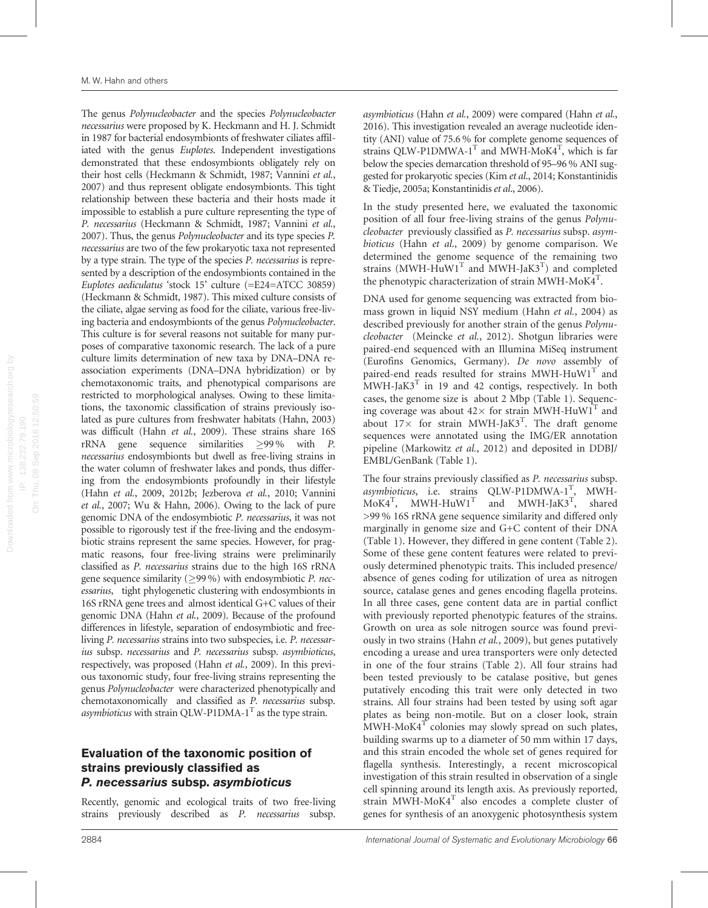The genus [Polynucleobacter](doi:10.1601/nm.1669) and the species [Polynucleobacter](doi:10.1601/nm.1670) [necessarius](doi:10.1601/nm.1670) were proposed by K. Heckmann and H. J. Schmidt in 1987 for bacterial endosymbionts of freshwater ciliates affiliated with the genus Euplotes. Independent investigations demonstrated that these endosymbionts obligately rely on their host cells [\(Heckmann & Schmidt, 1987;](#page-8-0) [Vannini](#page-9-0) et al., [2007\)](#page-9-0) and thus represent obligate endosymbionts. This tight relationship between these bacteria and their hosts made it impossible to establish a pure culture representing the type of [P. necessarius](doi:10.1601/nm.1670) [\(Heckmann & Schmidt, 1987](#page-8-0); [Vannini](#page-9-0) et al., [2007\)](#page-9-0). Thus, the genus [Polynucleobacter](doi:10.1601/nm.1669) and its type species [P.](doi:10.1601/nm.1670) [necessarius](doi:10.1601/nm.1670) are two of the few prokaryotic taxa not represented by a type strain. The type of the species [P. necessarius](doi:10.1601/nm.1670) is represented by a description of the endosymbionts contained in the Euplotes aediculatus 'stock 15' culture (=E24=ATCC 30859) ([Heckmann & Schmidt, 1987](#page-8-0)). This mixed culture consists of the ciliate, algae serving as food for the ciliate, various free-living bacteria and endosymbionts of the genus [Polynucleobacter](doi:10.1601/nm.1669). This culture is for several reasons not suitable for many purposes of comparative taxonomic research. The lack of a pure culture limits determination of new taxa by DNA–DNA reassociation experiments (DNA–DNA hybridization) or by chemotaxonomic traits, and phenotypical comparisons are restricted to morphological analyses. Owing to these limitations, the taxonomic classification of strains previously isolated as pure cultures from freshwater habitats ([Hahn, 2003](#page-8-0)) was difficult (Hahn et al.[, 2009\)](#page-8-0). These strains share 16S rRNA gene sequence similarities  $\geq$ 99% with [P.](doi:10.1601/nm.1670) [necessarius](doi:10.1601/nm.1670) endosymbionts but dwell as free-living strains in the water column of freshwater lakes and ponds, thus differing from the endosymbionts profoundly in their lifestyle (Hahn et al.[, 2009](#page-8-0), [2012b](#page-8-0); [Jezberova](#page-8-0) et al., 2010; [Vannini](#page-9-0) et al.[, 2007](#page-9-0); [Wu & Hahn, 2006](#page-9-0)). Owing to the lack of pure genomic DNA of the endosymbiotic [P. necessarius](doi:10.1601/nm.1670), it was not possible to rigorously test if the free-living and the endosymbiotic strains represent the same species. However, for pragmatic reasons, four free-living strains were preliminarily classified as [P. necessarius](doi:10.1601/nm.1670) strains due to the high 16S rRNA gene sequence similarity ( $\geq$ 99 %) with endosymbiotic *[P. nec](doi:10.1601/nm.1670)*[essarius](doi:10.1601/nm.1670), tight phylogenetic clustering with endosymbionts in 16S rRNA gene trees and almost identical G+C values of their genomic DNA (Hahn et al.[, 2009](#page-8-0)). Because of the profound differences in lifestyle, separation of endosymbiotic and freeliving [P. necessarius](doi:10.1601/nm.1670) strains into two subspecies, i.e. [P. necessar](doi:10.1601/nm.1670)[ius](doi:10.1601/nm.1670) subsp. necessarius and [P. necessarius](doi:10.1601/nm.1670) subsp. asymbioticus, respectively, was proposed (Hahn et al.[, 2009](#page-8-0)). In this previous taxonomic study, four free-living strains representing the genus [Polynucleobacter](doi:10.1601/nm.1669) were characterized phenotypically and chemotaxonomically and classified as [P. necessarius](doi:10.1601/nm.1670) subsp. *asymbioticus* with strain QLW-P1DMA-1<sup>T</sup> as the type strain.

### Evaluation of the taxonomic position of strains previously classified as [P. necessarius](doi:10.1601/nm.14569) subsp. asymbioticus

Recently, genomic and ecological traits of two free-living strains previously described as [P. necessarius](doi:10.1601/nm.14569) subsp. [asymbioticus](doi:10.1601/nm.14569) (Hahn et al.[, 2009](#page-8-0)) were compared ([Hahn](#page-8-0) et al., [2016\)](#page-8-0). This investigation revealed an average nucleotide identity (ANI) value of 75.6 % for complete genome sequences of strains QLW-P1DMWA-1<sup>T</sup> and MWH-MoK4<sup>T</sup>, which is far below the species demarcation threshold of 95–96 % ANI suggested for prokaryotic species (Kim et al[., 2014](#page-9-0); [Konstantinidis](#page-8-0) [& Tiedje, 2005a;](#page-8-0) [Konstantinidis](#page-9-0) et al., 2006).

In the study presented here, we evaluated the taxonomic position of all four free-living strains of the genus [Polynu](doi:10.1601/nm.1669)[cleobacter](doi:10.1601/nm.1669) previously classified as [P. necessarius](doi:10.1601/nm.14569) subsp. asym[bioticus](doi:10.1601/nm.14569) (Hahn et al[., 2009\)](#page-8-0) by genome comparison. We determined the genome sequence of the remaining two strains  $(MWH-HuW1<sup>T</sup>$  and  $MWH-JaK3<sup>T</sup>)$  and completed the phenotypic characterization of strain MWH-MoK $4^{\mathrm{T}}$ .

DNA used for genome sequencing was extracted from biomass grown in liquid NSY medium (Hahn et al.[, 2004](#page-8-0)) as described previously for another strain of the genus [Polynu](doi:10.1601/nm.1669)[cleobacter](doi:10.1601/nm.1669) ([Meincke](#page-9-0) et al., 2012). Shotgun libraries were paired-end sequenced with an Illumina MiSeq instrument (Eurofins Genomics, Germany). De novo assembly of paired-end reads resulted for strains MWH-HuW1 $^{\mathrm{T}}$  and  $\text{MWH-JaK3}^{\text{T}}$  in 19 and 42 contigs, respectively. In both cases, the genome size is about 2 Mbp ([Table 1\)](#page-2-0). Sequencing coverage was about  $42\times$  for strain MWH-HuW1<sup>T</sup> and about  $17\times$  for strain MWH-JaK3<sup>T</sup>. The draft genome sequences were annotated using the IMG/ER annotation pipeline [\(Markowitz](#page-9-0) et al., 2012) and deposited in DDBJ/ EMBL/GenBank ([Table 1\)](#page-2-0).

The four strains previously classified as [P. necessarius](doi:10.1601/nm.14569) subsp. [asymbioticus](doi:10.1601/nm.14569), i.e. strains QLW-P1DMWA-1<sup>T</sup>, MWH- $MoK4<sup>T</sup>$ , MWH-HuW1<sup>T</sup> and MWH-JaK3<sup>T</sup>, shared >99 % 16S rRNA gene sequence similarity and differed only marginally in genome size and G+C content of their DNA ([Table 1](#page-2-0)). However, they differed in gene content ([Table 2](#page-2-0)). Some of these gene content features were related to previously determined phenotypic traits. This included presence/ absence of genes coding for utilization of urea as nitrogen source, catalase genes and genes encoding flagella proteins. In all three cases, gene content data are in partial conflict with previously reported phenotypic features of the strains. Growth on urea as sole nitrogen source was found previously in two strains (Hahn et al.[, 2009\)](#page-8-0), but genes putatively encoding a urease and urea transporters were only detected in one of the four strains [\(Table 2](#page-2-0)). All four strains had been tested previously to be catalase positive, but genes putatively encoding this trait were only detected in two strains. All four strains had been tested by using soft agar plates as being non-motile. But on a closer look, strain  $\text{MWH-MoK4}^{\text{T}}$  colonies may slowly spread on such plates, building swarms up to a diameter of 50 mm within 17 days, and this strain encoded the whole set of genes required for flagella synthesis. Interestingly, a recent microscopical investigation of this strain resulted in observation of a single cell spinning around its length axis. As previously reported, strain MWH-MoK4<sup>T</sup> also encodes a complete cluster of genes for synthesis of an anoxygenic photosynthesis system

On: Thu, 08 Sep 2016 12:50:59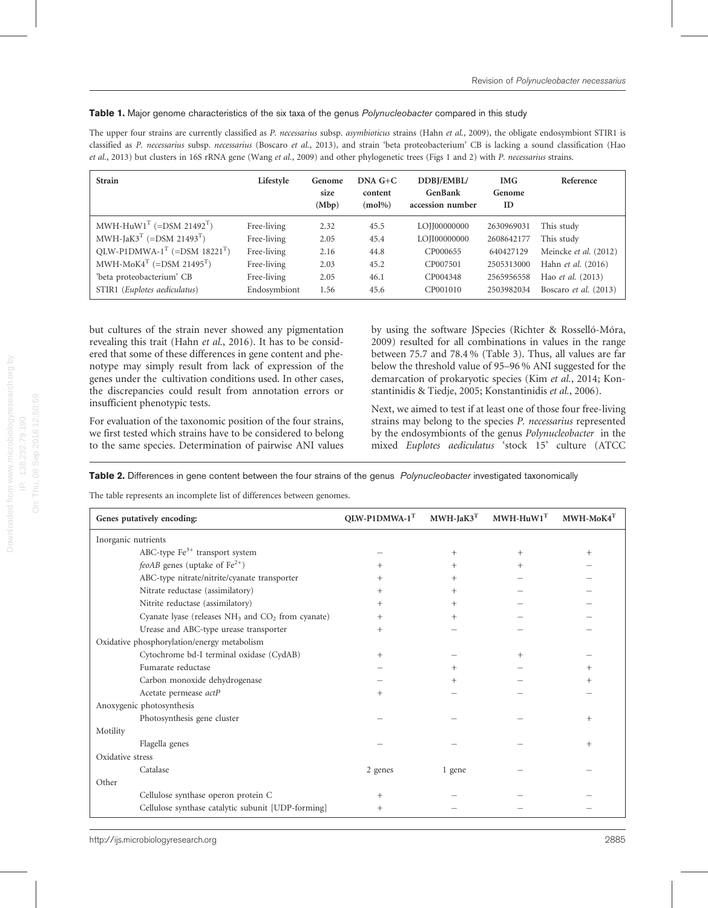#### <span id="page-2-0"></span>Table 1. Major genome characteristics of the six taxa of the genus [Polynucleobacter](doi:10.1601/nm.1669) compared in this study

The upper four strains are currently classified as [P. necessarius](doi:10.1601/nm.14569) subsp. asymbioticus strains (Hahn et al.[, 2009](#page-8-0)), the obligate endosymbiont STIR1 is classified as [P. necessarius](doi:10.1601/nm.1670) subsp. necessarius [\(Boscaro](#page-8-0) et al., 2013), and strain 'beta proteobacterium' CB is lacking a sound classification [\(Hao](#page-8-0) et al.[, 2013\)](#page-8-0) but clusters in 16S rRNA gene (Wang et al.[, 2009](#page-9-0)) and other phylogenetic trees ([Figs 1](#page-4-0) and [2](#page-4-0)) with [P. necessarius](doi:10.1601/nm.1670) strains.

| <b>Strain</b>                                       | Lifestyle    | Genome<br>size<br>(Mbp) | $DNA G+C$<br>content<br>$(mol\%)$ | DDBJ/EMBL/<br><b>GenBank</b><br>accession number | <b>IMG</b><br>Genome<br>ID | Reference                |
|-----------------------------------------------------|--------------|-------------------------|-----------------------------------|--------------------------------------------------|----------------------------|--------------------------|
| $MWH$ -HuW1 <sup>T</sup> (=DSM 21492 <sup>T</sup> ) | Free-living  | 2.32                    | 45.5                              | LOJJ00000000                                     | 2630969031                 | This study               |
| MWH-JaK3 <sup>T</sup> (=DSM 21493 <sup>T</sup> )    | Free-living  | 2.05                    | 45.4                              | LOJI00000000                                     | 2608642177                 | This study               |
| $QLW-P1DMWA-1T (=DSM 18221T)$                       | Free-living  | 2.16                    | 44.8                              | CP000655                                         | 640427129                  | Meincke et al. (2012)    |
| $MWH-MoK4T$ (=DSM 21495 <sup>T</sup> )              | Free-living  | 2.03                    | 45.2                              | CP007501                                         | 2505313000                 | Hahn et al. (2016)       |
| 'beta proteobacterium' CB                           | Free-living  | 2.05                    | 46.1                              | CP004348                                         | 2565956558                 | Hao <i>et al.</i> (2013) |
| STIR1 (Euplotes aediculatus)                        | Endosymbiont | 1.56                    | 45.6                              | CP001010                                         | 2503982034                 | Boscaro et al. (2013)    |

but cultures of the strain never showed any pigmentation revealing this trait (Hahn et al.[, 2016](#page-8-0)). It has to be considered that some of these differences in gene content and phenotype may simply result from lack of expression of the genes under the cultivation conditions used. In other cases, the discrepancies could result from annotation errors or insufficient phenotypic tests.

For evaluation of the taxonomic position of the four strains, we first tested which strains have to be considered to belong to the same species. Determination of pairwise ANI values

by using the software JSpecies ([Richter & Rosselló-Móra,](#page-9-0) [2009](#page-9-0)) resulted for all combinations in values in the range between 75.7 and 78.4 % [\(Table 3](#page-3-0)). Thus, all values are far below the threshold value of 95–96 % ANI suggested for the demarcation of prokaryotic species (Kim et al.[, 2014](#page-9-0); [Kon](#page-9-0)[stantinidis & Tiedje, 2005](#page-9-0); [Konstantinidis](#page-9-0) et al., 2006).

Next, we aimed to test if at least one of those four free-living strains may belong to the species [P. necessarius](doi:10.1601/nm.1670) represented by the endosymbionts of the genus [Polynucleobacter](doi:10.1601/nm.1669) in the mixed Euplotes aediculatus 'stock 15' culture (ATCC

Table 2. Differences in gene content between the four strains of the genus [Polynucleobacter](doi:10.1601/nm.1669) investigated taxonomically

The table represents an incomplete list of differences between genomes.

| Genes putatively encoding:                            | $QUW-PIDMWA-1T$ | $MWH-JaK3T$ | $MWH-HuW1T$ | $MWH-MoK4T$ |
|-------------------------------------------------------|-----------------|-------------|-------------|-------------|
| Inorganic nutrients                                   |                 |             |             |             |
| ABC-type $Fe^{3+}$ transport system                   |                 | $^{+}$      |             | $^{+}$      |
| <i>feoAB</i> genes (uptake of $Fe^{2+}$ )             | $^{+}$          |             |             |             |
| ABC-type nitrate/nitrite/cyanate transporter          |                 |             |             |             |
| Nitrate reductase (assimilatory)                      | $^+$            | $^+$        |             |             |
| Nitrite reductase (assimilatory)                      | $^{+}$          | $^+$        |             |             |
| Cyanate lyase (releases $NH3$ and $CO2$ from cyanate) | $^{+}$          |             |             |             |
| Urease and ABC-type urease transporter                | $^{+}$          |             |             |             |
| Oxidative phosphorylation/energy metabolism           |                 |             |             |             |
| Cytochrome bd-I terminal oxidase (CydAB)              | $^{+}$          |             |             |             |
| Fumarate reductase                                    |                 |             |             |             |
| Carbon monoxide dehydrogenase                         |                 |             |             | $^+$        |
| Acetate permease actP                                 | $^{+}$          |             |             |             |
| Anoxygenic photosynthesis                             |                 |             |             |             |
| Photosynthesis gene cluster                           |                 |             |             | $^{+}$      |
| Motility                                              |                 |             |             |             |
| Flagella genes                                        |                 |             |             | $^{+}$      |
| Oxidative stress                                      |                 |             |             |             |
| Catalase                                              | 2 genes         | 1 gene      |             |             |
| Other                                                 |                 |             |             |             |
| Cellulose synthase operon protein C                   | $^+$            |             |             |             |
| Cellulose synthase catalytic subunit [UDP-forming]    | $^{+}$          |             |             |             |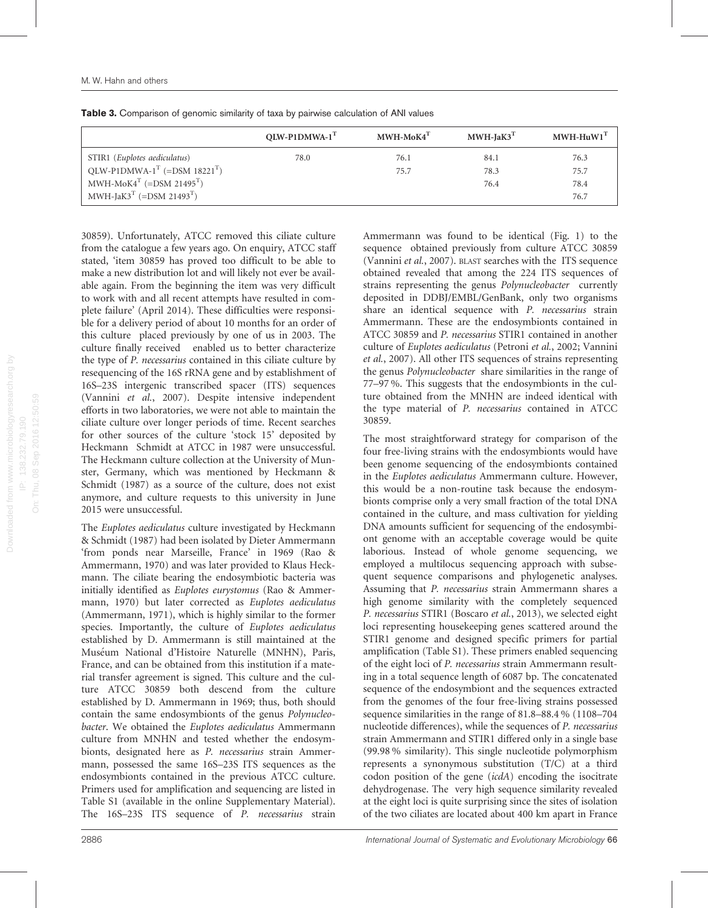<span id="page-3-0"></span>

|                                                           | OLW-P1DMWA-1 <sup>T</sup> | MWH-MoK4 <sup>T</sup> | $MWH-IaK3T$ | $MWH-HuW1T$ |
|-----------------------------------------------------------|---------------------------|-----------------------|-------------|-------------|
| STIR1 (Euplotes aediculatus)                              | 78.0                      | 76.1                  | 84.1        | 76.3        |
| QLW-P1DMWA-1 <sup>T</sup> (=DSM 18221 <sup>T</sup> )      |                           | 75.7                  | 78.3        | 75.7        |
| $MWH \text{-} M \text{o} K4^T$ (=DSM 21495 <sup>T</sup> ) |                           |                       | 76.4        | 78.4        |
| MWH-JaK3 <sup>T</sup> (=DSM 21493 <sup>T</sup> )          |                           |                       |             | 76.7        |

30859). Unfortunately, ATCC removed this ciliate culture from the catalogue a few years ago. On enquiry, ATCC staff stated, 'item 30859 has proved too difficult to be able to make a new distribution lot and will likely not ever be available again. From the beginning the item was very difficult to work with and all recent attempts have resulted in complete failure' (April 2014). These difficulties were responsible for a delivery period of about 10 months for an order of this culture placed previously by one of us in 2003. The culture finally received enabled us to better characterize the type of [P. necessarius](doi:10.1601/nm.1670) contained in this ciliate culture by resequencing of the 16S rRNA gene and by establishment of 16S–23S intergenic transcribed spacer (ITS) sequences ([Vannini](#page-9-0) et al., 2007). Despite intensive independent efforts in two laboratories, we were not able to maintain the ciliate culture over longer periods of time. Recent searches for other sources of the culture 'stock 15' deposited by Heckmann Schmidt at ATCC in 1987 were unsuccessful. The Heckmann culture collection at the University of Munster, Germany, which was mentioned by [Heckmann &](#page-8-0) [Schmidt \(1987\)](#page-8-0) as a source of the culture, does not exist anymore, and culture requests to this university in June 2015 were unsuccessful.

The Euplotes aediculatus culture investigated by [Heckmann](#page-8-0) [& Schmidt \(1987\)](#page-8-0) had been isolated by Dieter Ammermann 'from ponds near Marseille, France' in 1969 [\(Rao &](#page-9-0) [Ammermann, 1970](#page-9-0)) and was later provided to Klaus Heckmann. The ciliate bearing the endosymbiotic bacteria was initially identified as Euplotes eurystomus ([Rao & Ammer](#page-9-0)[mann, 1970](#page-9-0)) but later corrected as Euplotes aediculatus ([Ammermann, 1971](#page-8-0)), which is highly similar to the former species. Importantly, the culture of Euplotes aediculatus established by D. Ammermann is still maintained at the Museum National d'Histoire Naturelle (MNHN), Paris, France, and can be obtained from this institution if a material transfer agreement is signed. This culture and the culture ATCC 30859 both descend from the culture established by D. Ammermann in 1969; thus, both should contain the same endosymbionts of the genus [Polynucleo](doi:10.1601/nm.1669)[bacter](doi:10.1601/nm.1669). We obtained the Euplotes aediculatus Ammermann culture from MNHN and tested whether the endosymbionts, designated here as [P. necessarius](doi:10.1601/nm.1670) strain Ammermann, possessed the same 16S–23S ITS sequences as the endosymbionts contained in the previous ATCC culture. Primers used for amplification and sequencing are listed in Table S1 (available in the online Supplementary Material). The 16S–23S ITS sequence of [P. necessarius](doi:10.1601/nm.1670) strain Ammermann was found to be identical ([Fig. 1](#page-4-0)) to the sequence obtained previously from culture ATCC 30859 ([Vannini](#page-9-0) et al., 2007). BLAST searches with the ITS sequence obtained revealed that among the 224 ITS sequences of strains representing the genus [Polynucleobacter](doi:10.1601/nm.1669) currently deposited in DDBJ/EMBL/GenBank, only two organisms share an identical sequence with [P. necessarius](doi:10.1601/nm.1670) strain Ammermann. These are the endosymbionts contained in ATCC 30859 and [P. necessarius](doi:10.1601/nm.1670) STIR1 contained in another culture of Euplotes aediculatus ([Petroni](#page-9-0) et al., 2002; [Vannini](#page-9-0) et al.[, 2007](#page-9-0)). All other ITS sequences of strains representing the genus [Polynucleobacter](doi:10.1601/nm.1669) share similarities in the range of 77–97 %. This suggests that the endosymbionts in the culture obtained from the MNHN are indeed identical with the type material of [P. necessarius](doi:10.1601/nm.1670) contained in ATCC 30859.

The most straightforward strategy for comparison of the four free-living strains with the endosymbionts would have been genome sequencing of the endosymbionts contained in the Euplotes aediculatus Ammermann culture. However, this would be a non-routine task because the endosymbionts comprise only a very small fraction of the total DNA contained in the culture, and mass cultivation for yielding DNA amounts sufficient for sequencing of the endosymbiont genome with an acceptable coverage would be quite laborious. Instead of whole genome sequencing, we employed a multilocus sequencing approach with subsequent sequence comparisons and phylogenetic analyses. Assuming that [P. necessarius](doi:10.1601/nm.1670) strain Ammermann shares a high genome similarity with the completely sequenced [P. necessarius](doi:10.1601/nm.1670) STIR1 ([Boscaro](#page-8-0) et al., 2013), we selected eight loci representing housekeeping genes scattered around the STIR1 genome and designed specific primers for partial amplification (Table S1). These primers enabled sequencing of the eight loci of [P. necessarius](doi:10.1601/nm.1670) strain Ammermann resulting in a total sequence length of 6087 bp. The concatenated sequence of the endosymbiont and the sequences extracted from the genomes of the four free-living strains possessed sequence similarities in the range of 81.8–88.4 % (1108–704 nucleotide differences), while the sequences of [P. necessarius](doi:10.1601/nm.1670) strain Ammermann and STIR1 differed only in a single base (99.98 % similarity). This single nucleotide polymorphism represents a synonymous substitution (T/C) at a third codon position of the gene (icdA) encoding the isocitrate dehydrogenase. The very high sequence similarity revealed at the eight loci is quite surprising since the sites of isolation of the two ciliates are located about 400 km apart in France

On: Thu, 08 Sep 2016 12:50:59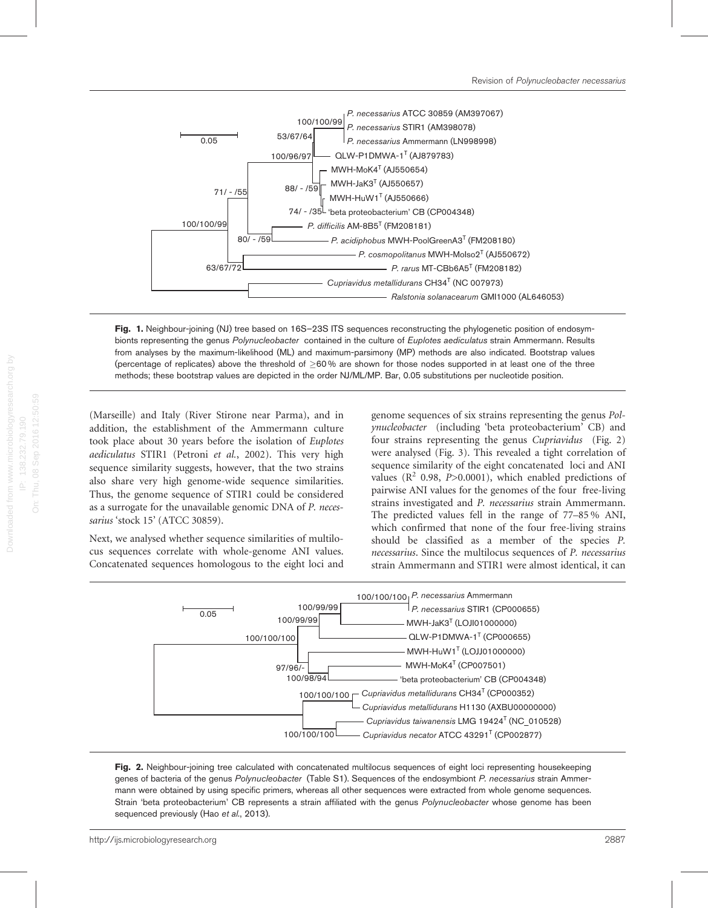<span id="page-4-0"></span>

Fig. 1. Neighbour-joining (NJ) tree based on 16S-23S ITS sequences reconstructing the phylogenetic position of endosym-bionts representing the genus [Polynucleobacter](doi:10.1601/nm.1669) contained in the culture of Euplotes aediculatus strain Ammermann. Results from analyses by the maximum-likelihood (ML) and maximum-parsimony (MP) methods are also indicated. Bootstrap values (percentage of replicates) above the threshold of  $\geq 60\%$  are shown for those nodes supported in at least one of the three methods; these bootstrap values are depicted in the order NJ/ML/MP. Bar, 0.05 substitutions per nucleotide position.

(Marseille) and Italy (River Stirone near Parma), and in addition, the establishment of the Ammermann culture took place about 30 years before the isolation of Euplotes aediculatus STIR1 ([Petroni](#page-9-0) et al., 2002). This very high sequence similarity suggests, however, that the two strains also share very high genome-wide sequence similarities. Thus, the genome sequence of STIR1 could be considered as a surrogate for the unavailable genomic DNA of [P. neces](doi:10.1601/nm.1670)[sarius](doi:10.1601/nm.1670) 'stock 15' (ATCC 30859).

On: Thu, 08 Sep 2016 12:50:59

Next, we analysed whether sequence similarities of multilocus sequences correlate with whole-genome ANI values. Concatenated sequences homologous to the eight loci and genome sequences of six strains representing the genus [Pol](doi:10.1601/nm.1669)[ynucleobacter](doi:10.1601/nm.1669) (including 'beta proteobacterium' CB) and four strains representing the genus [Cupriavidus](doi:10.1601/nm.1655) (Fig. 2) were analysed ([Fig. 3](#page-5-0)). This revealed a tight correlation of sequence similarity of the eight concatenated loci and ANI values ( $R^2$  0.98,  $P > 0.0001$ ), which enabled predictions of pairwise ANI values for the genomes of the four free-living strains investigated and [P. necessarius](doi:10.1601/nm.1670) strain Ammermann. The predicted values fell in the range of 77–85 % ANI, which confirmed that none of the four free-living strains should be classified as a member of the species [P.](doi:10.1601/nm.1670) [necessarius](doi:10.1601/nm.1670). Since the multilocus sequences of [P. necessarius](doi:10.1601/nm.1670) strain Ammermann and STIR1 were almost identical, it can



Fig. 2. Neighbour-joining tree calculated with concatenated multilocus sequences of eight loci representing housekeeping genes of bacteria of the genus [Polynucleobacter](doi:10.1601/nm.1669) (Table S1). Sequences of the endosymbiont [P. necessarius](doi:10.1601/nm.1670) strain Ammermann were obtained by using specific primers, whereas all other sequences were extracted from whole genome sequences. Strain 'beta proteobacterium' CB represents a strain affiliated with the genus [Polynucleobacter](doi:10.1601/nm.1669) whose genome has been sequenced previously (Hao et al.[, 2013](#page-8-0)).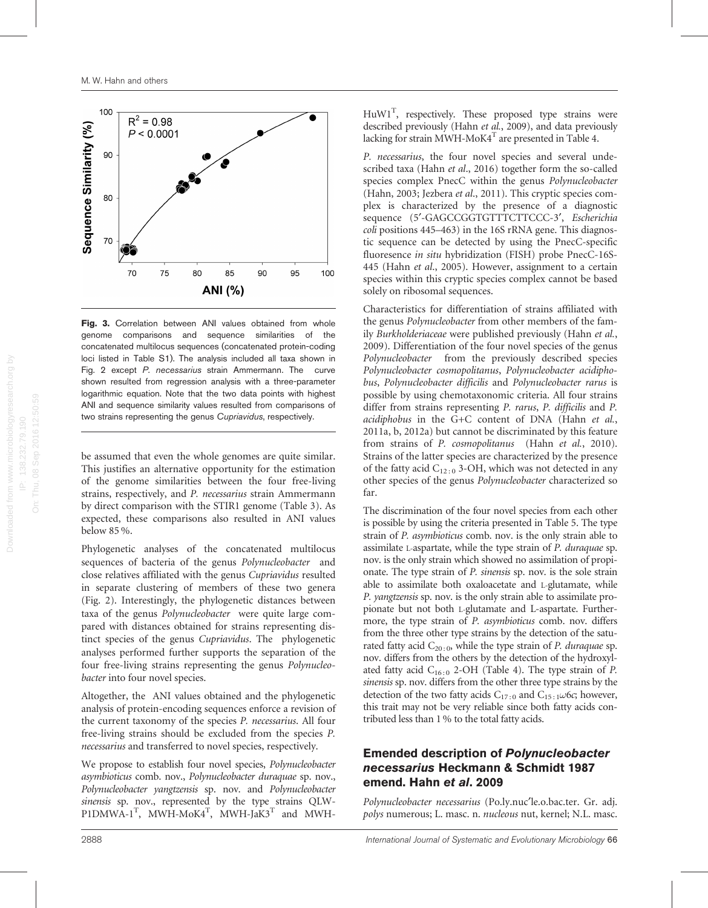<span id="page-5-0"></span>

Fig. 3. Correlation between ANI values obtained from whole genome comparisons and sequence similarities of the concatenated multilocus sequences (concatenated protein-coding loci listed in Table S1). The analysis included all taxa shown in [Fig. 2](#page-4-0) except [P. necessarius](doi:10.1601/nm.1670) strain Ammermann. The curve shown resulted from regression analysis with a three-parameter logarithmic equation. Note that the two data points with highest ANI and sequence similarity values resulted from comparisons of two strains representing the genus [Cupriavidus](doi:10.1601/nm.1655), respectively.

be assumed that even the whole genomes are quite similar. This justifies an alternative opportunity for the estimation of the genome similarities between the four free-living strains, respectively, and [P. necessarius](doi:10.1601/nm.1670) strain Ammermann by direct comparison with the STIR1 genome ([Table 3](#page-3-0)). As expected, these comparisons also resulted in ANI values below 85 %.

Phylogenetic analyses of the concatenated multilocus sequences of bacteria of the genus [Polynucleobacter](doi:10.1601/nm.1669) and close relatives affiliated with the genus [Cupriavidus](doi:10.1601/nm.1655) resulted in separate clustering of members of these two genera ([Fig. 2](#page-4-0)). Interestingly, the phylogenetic distances between taxa of the genus [Polynucleobacter](doi:10.1601/nm.1669) were quite large compared with distances obtained for strains representing distinct species of the genus [Cupriavidus](doi:10.1601/nm.1655). The phylogenetic analyses performed further supports the separation of the four free-living strains representing the genus [Polynucleo](doi:10.1601/nm.1669)[bacter](doi:10.1601/nm.1669) into four novel species.

Altogether, the ANI values obtained and the phylogenetic analysis of protein-encoding sequences enforce a revision of the current taxonomy of the species [P. necessarius](doi:10.1601/nm.1670). All four free-living strains should be excluded from the species [P.](doi:10.1601/nm.1670) [necessarius](doi:10.1601/nm.1670) and transferred to novel species, respectively.

We propose to establish four novel species, Polynucleobacter asymbioticus comb. nov., Polynucleobacter duraquae sp. nov., Polynucleobacter yangtzensis sp. nov. and Polynucleobacter sinensis sp. nov., represented by the type strains QLW- $P1DMWA-1<sup>T</sup>$ , MWH-MoK4<sup>T</sup>, MWH-JaK3<sup>T</sup> and MWH-

 $H u W1<sup>T</sup>$ , respectively. These proposed type strains were described previously (Hahn et al.[, 2009](#page-8-0)), and data previously lacking for strain MWH-MoK4 $^{\mathrm{T}}$  are presented in [Table 4.](#page-6-0)

[P. necessarius](doi:10.1601/nm.1670), the four novel species and several unde-scribed taxa (Hahn et al[., 2016\)](#page-8-0) together form the so-called species complex PnecC within the genus [Polynucleobacter](doi:10.1601/nm.1669) ([Hahn, 2003](#page-8-0); [Jezbera](#page-8-0) et al., 2011). This cryptic species complex is characterized by the presence of a diagnostic sequence (5'-GAGCCGGTGTTTCTTCCC-3', [Escherichia](doi:10.1601/nm.3093) [coli](doi:10.1601/nm.3093) positions 445–463) in the 16S rRNA gene. This diagnostic sequence can be detected by using the PnecC-specific fluoresence in situ hybridization (FISH) probe PnecC-16S-445 (Hahn et al[., 2005](#page-8-0)). However, assignment to a certain species within this cryptic species complex cannot be based solely on ribosomal sequences.

Characteristics for differentiation of strains affiliated with the genus [Polynucleobacter](doi:10.1601/nm.1669) from other members of the family [Burkholderiaceae](doi:10.1601/nm.1618) were published previously ([Hahn](#page-8-0) et al., [2009](#page-8-0)). Differentiation of the four novel species of the genus Polynucleobacter from the previously described species [Polynucleobacter cosmopolitanus](doi:10.1601/nm.15051), [Polynucleobacter acidipho](doi:10.1601/nm.21311)[bus](doi:10.1601/nm.21311), [Polynucleobacter difficilis](doi:10.1601/nm.22825) and [Polynucleobacter rarus](doi:10.1601/nm.21310) is possible by using chemotaxonomic criteria. All four strains differ from strains representing [P. rarus](doi:10.1601/nm.21310), [P. difficilis](doi:10.1601/nm.22825) and [P.](doi:10.1601/nm.21311) [acidiphobus](doi:10.1601/nm.21311) in the G+C content of DNA [\(Hahn](#page-8-0) et al., [2011a](#page-8-0), [b, 2012a](#page-8-0)) but cannot be discriminated by this feature from strains of P. cosmopolitanus (Hahn et al.[, 2010](#page-8-0)). Strains of the latter species are characterized by the presence of the fatty acid  $C_{12:0}$  3-OH, which was not detected in any other species of the genus Polynucleobacter characterized so far.

The discrimination of the four novel species from each other is possible by using the criteria presented in [Table 5](#page-6-0). The type strain of P. asymbioticus comb. nov. is the only strain able to assimilate L-aspartate, while the type strain of P. duraquae sp. nov. is the only strain which showed no assimilation of propionate. The type strain of P. sinensis sp. nov. is the sole strain able to assimilate both oxaloacetate and L-glutamate, while P. yangtzensis sp. nov. is the only strain able to assimilate propionate but not both L-glutamate and L-aspartate. Furthermore, the type strain of P. asymbioticus comb. nov. differs from the three other type strains by the detection of the saturated fatty acid  $C_{20:0}$ , while the type strain of *P. duraquae* sp. nov. differs from the others by the detection of the hydroxylated fatty acid  $C_{16 \cdot 0}$  2-OH [\(Table 4](#page-6-0)). The type strain of P. sinensis sp. nov. differs from the other three type strains by the detection of the two fatty acids  $C_{17:0}$  and  $C_{15:1}\omega$ 6c; however, this trait may not be very reliable since both fatty acids contributed less than 1 % to the total fatty acids.

#### Emended description of [Polynucleobacter](doi:10.1601/nm.1670) [necessarius](doi:10.1601/nm.1670) [Heckmann & Schmidt 1987](#page-8-0) emend. Hahn et al[. 2009](#page-8-0)

[Polynucleobacter necessarius](doi:10.1601/nm.1670) (Po.ly.nuc'le.o.bac.ter. Gr. adj. polys numerous; L. masc. n. nucleous nut, kernel; N.L. masc.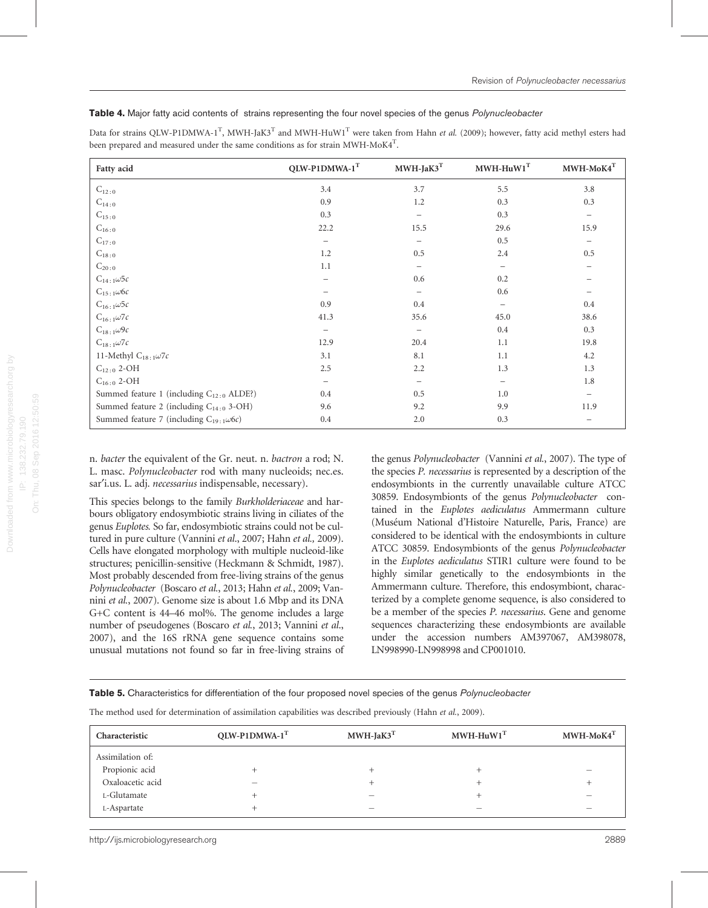#### <span id="page-6-0"></span>Table 4. Major fatty acid contents of strains representing the four novel species of the genus [Polynucleobacter](doi:10.1601/nm.1669)

Data for strains QLW-P1DMWA-1<sup>T</sup>, MWH-JaK3<sup>T</sup> and MWH-HuW1<sup>T</sup> were taken from Hahn *et al.* [\(2009](#page-8-0)); however, fatty acid methyl esters had been prepared and measured under the same conditions as for strain MWH-MoK4 $^{\mathrm{T}}$ .

| Fatty acid                                           | QLW-P1DMWA-1T     | $\text{MWH-JaK3}^\text{T}$ | $MWH-HuW1T$              | $MWH-MoK4T$              |
|------------------------------------------------------|-------------------|----------------------------|--------------------------|--------------------------|
| $C_{12:0}$                                           | 3.4               | 3.7                        | 5.5                      | 3.8                      |
| $C_{14:0}$                                           | 0.9               | 1.2                        | 0.3                      | 0.3                      |
| $C_{15:0}$                                           | 0.3               | -                          | 0.3                      | $\overline{\phantom{0}}$ |
| $C_{16:0}$                                           | 22.2              | 15.5                       | 29.6                     | 15.9                     |
| $C_{17:0}$                                           |                   |                            | 0.5                      |                          |
| $C_{18:0}$                                           | 1.2               | 0.5                        | 2.4                      | 0.5                      |
| $C_{20:0}$                                           | 1.1               |                            | $\qquad \qquad -$        |                          |
| $C_{14:1}\omega$ 5c                                  |                   | 0.6                        | 0.2                      |                          |
| $C_{15:1}\omega$ 6c                                  |                   |                            | 0.6                      |                          |
| $C_{16:1}\omega$ 5c                                  | 0.9               | 0.4                        | $\overline{\phantom{0}}$ | 0.4                      |
| $C_{16\colon1}\omega 7c$                             | 41.3              | 35.6                       | 45.0                     | 38.6                     |
| $C_{18:1}\omega$ 9c                                  |                   | -                          | 0.4                      | 0.3                      |
| $C_{18:1}\omega 7c$                                  | 12.9              | 20.4                       | 1.1                      | 19.8                     |
| 11-Methyl $C_{18:1}\omega$ 7c                        | 3.1               | 8.1                        | 1.1                      | 4.2                      |
| $C_{12:0}$ 2-OH                                      | 2.5               | 2.2                        | 1.3                      | 1.3                      |
| $C_{16:0}$ 2-OH                                      | $\qquad \qquad -$ | -                          | $\overline{\phantom{m}}$ | 1.8                      |
| Summed feature 1 (including C <sub>12:0</sub> ALDE?) | 0.4               | 0.5                        | 1.0                      | $\overline{\phantom{m}}$ |
| Summed feature 2 (including C <sub>14:0</sub> 3-OH)  | 9.6               | 9.2                        | 9.9                      | 11.9                     |
| Summed feature 7 (including $C_{19:1}\omega$ 6c)     | 0.4               | 2.0                        | 0.3                      | $\qquad \qquad$          |

n. bacter the equivalent of the Gr. neut. n. bactron a rod; N. L. masc. [Polynucleobacter](doi:10.1601/nm.1669) rod with many nucleoids; nec.es. sar'i.us. L. adj. necessarius indispensable, necessary).

On: Thu, 08 Sep 2016 12:50:59

This species belongs to the family [Burkholderiaceae](doi:10.1601/nm.1618) and harbours obligatory endosymbiotic strains living in ciliates of the genus Euplotes. So far, endosymbiotic strains could not be cul-tured in pure culture [\(Vannini](#page-9-0) et al., 2007; [Hahn](#page-8-0) et al., 2009). Cells have elongated morphology with multiple nucleoid-like structures; penicillin-sensitive [\(Heckmann & Schmidt, 1987\)](#page-8-0). Most probably descended from free-living strains of the genus [Polynucleobacter](doi:10.1601/nm.1669) ([Boscaro](#page-8-0) et al., 2013; Hahn et al.[, 2009;](#page-8-0) [Van](#page-9-0)nini et al.[, 2007](#page-9-0)). Genome size is about 1.6 Mbp and its DNA G+C content is 44–46 mol%. The genome includes a large number of pseudogenes [\(Boscaro](#page-8-0) et al., 2013; [Vannini](#page-9-0) et al., [2007](#page-9-0)), and the 16S rRNA gene sequence contains some unusual mutations not found so far in free-living strains of the genus [Polynucleobacter](doi:10.1601/nm.1669) ([Vannini](#page-9-0) et al., 2007). The type of the species [P. necessarius](doi:10.1601/nm.1670) is represented by a description of the endosymbionts in the currently unavailable culture ATCC 30859. Endosymbionts of the genus [Polynucleobacter](doi:10.1601/nm.1669) contained in the Euplotes aediculatus Ammermann culture (Museum National d'Histoire Naturelle, Paris, France) are considered to be identical with the endosymbionts in culture ATCC 30859. Endosymbionts of the genus [Polynucleobacter](doi:10.1601/nm.1669) in the Euplotes aediculatus STIR1 culture were found to be highly similar genetically to the endosymbionts in the Ammermann culture. Therefore, this endosymbiont, characterized by a complete genome sequence, is also considered to be a member of the species *[P. necessarius](doi:10.1601/nm.1670)*. Gene and genome sequences characterizing these endosymbionts are available under the accession numbers AM397067, AM398078, LN998990-LN998998 and CP001010.

Table 5. Characteristics for differentiation of the four proposed novel species of the genus [Polynucleobacter](doi:10.1601/nm.1669)

The method used for determination of assimilation capabilities was described previously (Hahn et al.[, 2009\)](#page-8-0).

| Characteristic   | $QUW-PIDMWA-1T$ | $MWH-JaK3T$ | $MWH-HuW1T$ | $MWH-MoK4T$ |
|------------------|-----------------|-------------|-------------|-------------|
| Assimilation of: |                 |             |             |             |
| Propionic acid   |                 |             | $\div$      |             |
| Oxaloacetic acid |                 |             |             |             |
| L-Glutamate      |                 |             |             |             |
| L-Aspartate      |                 | _           |             |             |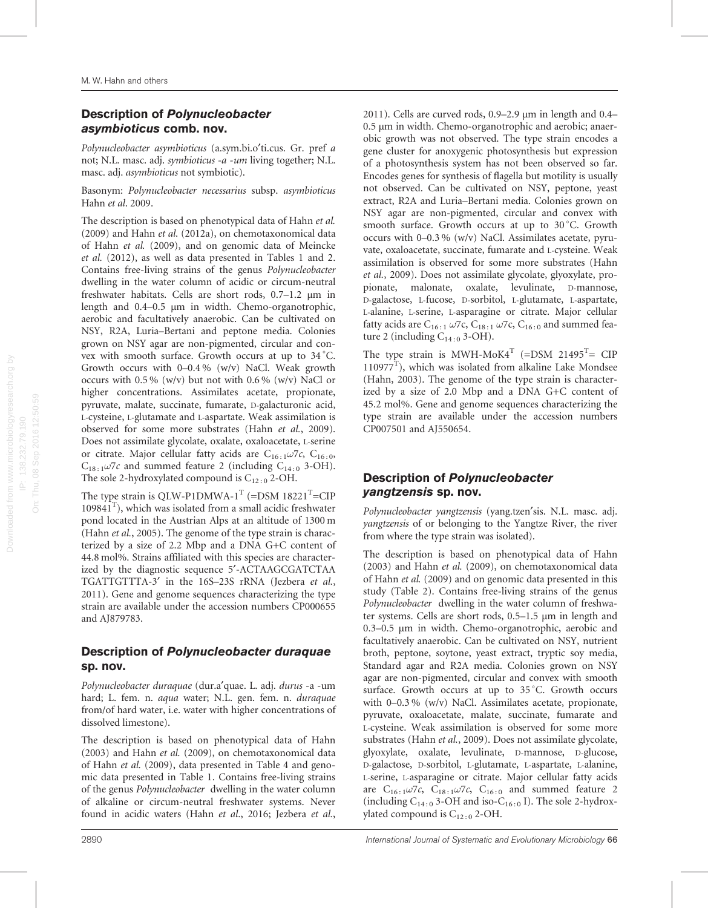# Description of Polynucleobacter asymbioticus comb. nov.

Polynucleobacter asymbioticus (a.sym.bi.o¢ti.cus. Gr. pref a not; N.L. masc. adj. symbioticus -a -um living together; N.L. masc. adj. asymbioticus not symbiotic).

Basonym: [Polynucleobacter necessarius](doi:10.1601/nm.14569) subsp. asymbioticus Hahn et al[. 2009](#page-8-0).

The description is based on phenotypical data of [Hahn](#page-8-0) et al. [\(2009\)](#page-8-0) and Hahn et al[. \(2012a\)](#page-8-0), on chemotaxonomical data of Hahn et al. [\(2009\),](#page-8-0) and on genomic data of [Meincke](#page-9-0) et al. [\(2012\)](#page-9-0), as well as data presented in [Tables 1](#page-2-0) and [2.](#page-2-0) Contains free-living strains of the genus [Polynucleobacter](doi:10.1601/nm.1669) dwelling in the water column of acidic or circum-neutral freshwater habitats. Cells are short rods, 0.7–1.2 µm in length and 0.4–0.5 µm in width. Chemo-organotrophic, aerobic and facultatively anaerobic. Can be cultivated on NSY, R2A, Luria–Bertani and peptone media. Colonies grown on NSY agar are non-pigmented, circular and convex with smooth surface. Growth occurs at up to 34 C. Growth occurs with 0–0.4 % (w/v) NaCl. Weak growth occurs with 0.5 % (w/v) but not with 0.6 % (w/v) NaCl or higher concentrations. Assimilates acetate, propionate, pyruvate, malate, succinate, fumarate, D-galacturonic acid, L-cysteine, L-glutamate and L-aspartate. Weak assimilation is observed for some more substrates (Hahn et al.[, 2009](#page-8-0)). Does not assimilate glycolate, oxalate, oxaloacetate, L-serine or citrate. Major cellular fatty acids are C<sub>16:1</sub> $\omega$ 7c, C<sub>16:0</sub>,  $C_{18:1}\omega$ 7c and summed feature 2 (including  $C_{14:0}$  3-OH). The sole 2-hydroxylated compound is  $C_{12:0}$  2-OH.

The type strain is QLW-P1DMWA-1<sup>T</sup> (=DSM 18221<sup>T</sup>=CIP  $109841<sup>T</sup>$ ), which was isolated from a small acidic freshwater pond located in the Austrian Alps at an altitude of 1300 m (Hahn *et al.*[, 2005](#page-8-0)). The genome of the type strain is characterized by a size of 2.2 Mbp and a DNA G+C content of 44.8 mol%. Strains affiliated with this species are characterized by the diagnostic sequence 5'-ACTAAGCGATCTAA TGATTGTTTA-3' in the 16S-23S rRNA ([Jezbera](#page-8-0) et al., [2011](#page-8-0)). Gene and genome sequences characterizing the type strain are available under the accession numbers CP000655 and AJ879783.

## Description of Polynucleobacter duraquae sp. nov.

Polynucleobacter duraquae (dur.a'quae. L. adj. durus -a -um hard; L. fem. n. aqua water; N.L. gen. fem. n. duraquae from/of hard water, i.e. water with higher concentrations of dissolved limestone).

The description is based on phenotypical data of [Hahn](#page-8-0) [\(2003\)](#page-8-0) and Hahn et al. [\(2009\),](#page-8-0) on chemotaxonomical data of Hahn et al. [\(2009\),](#page-8-0) data presented in [Table 4](#page-6-0) and genomic data presented in [Table 1.](#page-2-0) Contains free-living strains of the genus [Polynucleobacter](doi:10.1601/nm.1669) dwelling in the water column of alkaline or circum-neutral freshwater systems. Never found in acidic waters (Hahn et al[., 2016](#page-8-0); [Jezbera](#page-8-0) et al., [2011](#page-8-0)). Cells are curved rods, 0.9–2.9 µm in length and 0.4– 0.5 µm in width. Chemo-organotrophic and aerobic; anaerobic growth was not observed. The type strain encodes a gene cluster for anoxygenic photosynthesis but expression of a photosynthesis system has not been observed so far. Encodes genes for synthesis of flagella but motility is usually not observed. Can be cultivated on NSY, peptone, yeast extract, R2A and Luria–Bertani media. Colonies grown on NSY agar are non-pigmented, circular and convex with smooth surface. Growth occurs at up to 30 °C. Growth occurs with 0–0.3 % (w/v) NaCl. Assimilates acetate, pyruvate, oxaloacetate, succinate, fumarate and L-cysteine. Weak assimilation is observed for some more substrates ([Hahn](#page-8-0) et al.[, 2009](#page-8-0)). Does not assimilate glycolate, glyoxylate, propionate, malonate, oxalate, levulinate, D-mannose, D-galactose, L-fucose, D-sorbitol, L-glutamate, L-aspartate, L-alanine, L-serine, L-asparagine or citrate. Major cellular fatty acids are C<sub>16:1</sub>  $\omega$ 7c, C<sub>18:1</sub>  $\omega$ 7c, C<sub>16:0</sub> and summed feature 2 (including  $C_{14:0}$  3-OH).

The type strain is MWH-MoK4<sup>T</sup> (=DSM 21495<sup>T</sup>= CIP  $110977<sup>T</sup>$ ), which was isolated from alkaline Lake Mondsee ([Hahn, 2003](#page-8-0)). The genome of the type strain is characterized by a size of 2.0 Mbp and a DNA G+C content of 45.2 mol%. Gene and genome sequences characterizing the type strain are available under the accession numbers CP007501 and AJ550654.

# Description of Polynucleobacter yangtzensis sp. nov.

Polynucleobacter yangtzensis (yang.tzen'sis. N.L. masc. adj. yangtzensis of or belonging to the Yangtze River, the river from where the type strain was isolated).

The description is based on phenotypical data of [Hahn](#page-8-0) [\(2003\)](#page-8-0) and Hahn et al. [\(2009\),](#page-8-0) on chemotaxonomical data of Hahn et al. [\(2009\)](#page-8-0) and on genomic data presented in this study [\(Table 2\)](#page-2-0). Contains free-living strains of the genus [Polynucleobacter](doi:10.1601/nm.1669) dwelling in the water column of freshwater systems. Cells are short rods, 0.5–1.5 µm in length and 0.3–0.5 µm in width. Chemo-organotrophic, aerobic and facultatively anaerobic. Can be cultivated on NSY, nutrient broth, peptone, soytone, yeast extract, tryptic soy media, Standard agar and R2A media. Colonies grown on NSY agar are non-pigmented, circular and convex with smooth surface. Growth occurs at up to 35 °C. Growth occurs with 0–0.3 % (w/v) NaCl. Assimilates acetate, propionate, pyruvate, oxaloacetate, malate, succinate, fumarate and L-cysteine. Weak assimilation is observed for some more substrates (Hahn et al.[, 2009](#page-8-0)). Does not assimilate glycolate, glyoxylate, oxalate, levulinate, D-mannose, D-glucose, D-galactose, D-sorbitol, L-glutamate, L-aspartate, L-alanine, L-serine, L-asparagine or citrate. Major cellular fatty acids are  $C_{16:1}\omega$ 7c,  $C_{18:1}\omega$ 7c,  $C_{16:0}$  and summed feature 2 (including  $C_{14:0}$  3-OH and iso- $C_{16:0}$  I). The sole 2-hydroxylated compound is  $C_{12:0}$  2-OH.

On: Thu, 08 Sep 2016 12:50:59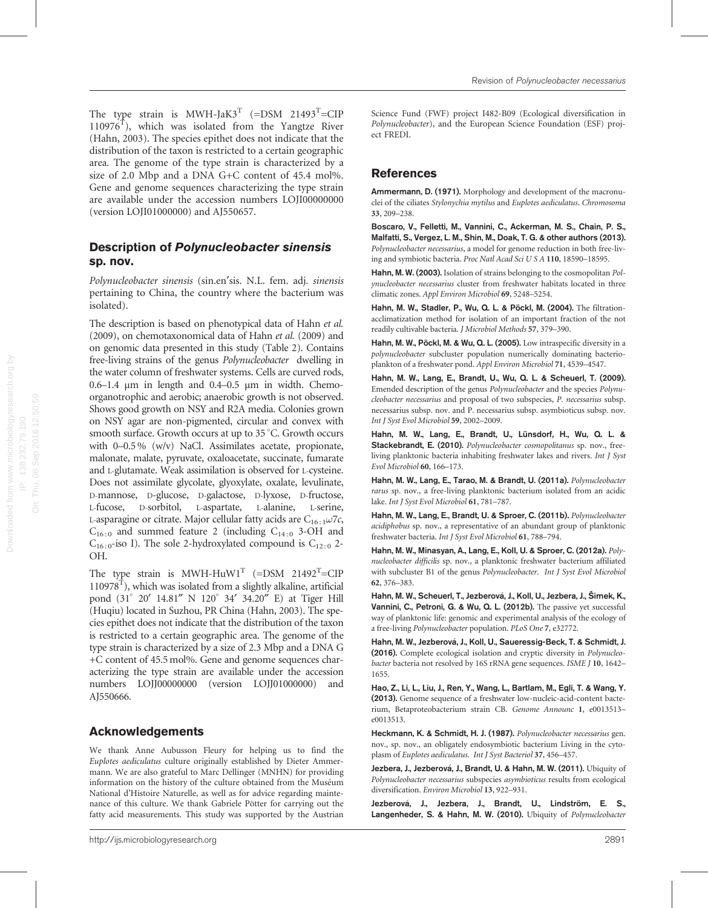Description of Polynucleobacter sinensis sp. nov.

(version LOJI01000000) and AJ550657.

Polynucleobacter sinensis (sin.en'sis. N.L. fem. adj. sinensis pertaining to China, the country where the bacterium was isolated).

<span id="page-8-0"></span>The type strain is MWH-JaK3<sup>T</sup> (=DSM 21493<sup>T</sup>=CIP  $110976<sup>T</sup>$ ), which was isolated from the Yangtze River (Hahn, 2003). The species epithet does not indicate that the distribution of the taxon is restricted to a certain geographic area. The genome of the type strain is characterized by a size of 2.0 Mbp and a DNA G+C content of 45.4 mol%. Gene and genome sequences characterizing the type strain are available under the accession numbers LOJI00000000

The description is based on phenotypical data of Hahn et al. (2009), on chemotaxonomical data of Hahn et al. (2009) and on genomic data presented in this study ([Table 2\)](#page-2-0). Contains free-living strains of the genus [Polynucleobacter](doi:10.1601/nm.1669) dwelling in the water column of freshwater systems. Cells are curved rods,  $0.6-1.4$  µm in length and  $0.4-0.5$  µm in width. Chemoorganotrophic and aerobic; anaerobic growth is not observed. Shows good growth on NSY and R2A media. Colonies grown on NSY agar are non-pigmented, circular and convex with smooth surface. Growth occurs at up to 35 °C. Growth occurs with 0–0.5 % (w/v) NaCl. Assimilates acetate, propionate, malonate, malate, pyruvate, oxaloacetate, succinate, fumarate and L-glutamate. Weak assimilation is observed for L-cysteine. Does not assimilate glycolate, glyoxylate, oxalate, levulinate, D-mannose, D-glucose, D-galactose, D-lyxose, D-fructose, L-fucose, D-sorbitol, L-aspartate, L-alanine, L-serine, L-asparagine or citrate. Major cellular fatty acids are  $C_{16:1}\omega$ 7c,  $C_{16:0}$  and summed feature 2 (including  $C_{14:0}$  3-OH and  $C_{16:0}$ -iso I). The sole 2-hydroxylated compound is  $C_{12:0}$  2-OH.

The type strain is MWH-HuW1<sup>T</sup> (=DSM 21492<sup>T</sup>=CIP  $110978<sup>T</sup>$ ), which was isolated from a slightly alkaline, artificial pond (31° 20′ 14.81″ N 120° 34′ 34.20″ E) at Tiger Hill (Huqiu) located in Suzhou, PR China (Hahn, 2003). The species epithet does not indicate that the distribution of the taxon is restricted to a certain geographic area. The genome of the type strain is characterized by a size of 2.3 Mbp and a DNA G +C content of 45.5 mol%. Gene and genome sequences characterizing the type strain are available under the accession numbers LOJJ00000000 (version LOJJ01000000) and AJ550666.

# Acknowledgements

We thank Anne Aubusson Fleury for helping us to find the Euplotes aediculatus culture originally established by Dieter Ammermann. We are also grateful to Marc Dellinger (MNHN) for providing information on the history of the culture obtained from the Muséum National d'Histoire Naturelle, as well as for advice regarding maintenance of this culture. We thank Gabriele Pötter for carrying out the fatty acid measurements. This study was supported by the Austrian

Science Fund (FWF) project I482-B09 (Ecological diversification in [Polynucleobacter](doi:10.1601/nm.1669)), and the European Science Foundation (ESF) project FREDI.

### References

Ammermann, D. (1971). Morphology and development of the macronuclei of the ciliates Stylonychia mytilus and Euplotes aediculatus. Chromosoma 33, 209–238.

Boscaro, V., Felletti, M., Vannini, C., Ackerman, M. S., Chain, P. S., Malfatti, S., Vergez, L. M., Shin, M., Doak, T. G. & other authors (2013). Polynucleobacter necessarius, a model for genome reduction in both free-living and symbiotic bacteria. Proc Natl Acad Sci U S A 110, 18590–18595.

Hahn, M. W. (2003). Isolation of strains belonging to the cosmopolitan Polynucleobacter necessarius cluster from freshwater habitats located in three climatic zones. Appl Environ Microbiol 69, 5248–5254.

Hahn, M. W., Stadler, P., Wu, Q. L. & Pöckl, M. (2004). The filtrationacclimatization method for isolation of an important fraction of the not readily cultivable bacteria. J Microbiol Methods 57, 379–390.

Hahn, M. W., Pöckl, M. & Wu, Q. L. (2005). Low intraspecific diversity in a polynucleobacter subcluster population numerically dominating bacterioplankton of a freshwater pond. Appl Environ Microbiol 71, 4539–4547.

Hahn, M. W., Lang, E., Brandt, U., Wu, Q. L. & Scheuerl, T. (2009). Emended description of the genus Polynucleobacter and the species Polynucleobacter necessarius and proposal of two subspecies, P. necessarius subsp. necessarius subsp. nov. and P. necessarius subsp. asymbioticus subsp. nov. Int J Syst Evol Microbiol 59, 2002–2009.

Hahn, M. W., Lang, E., Brandt, U., Lünsdorf, H., Wu, Q. L. & Stackebrandt, E. (2010). Polynucleobacter cosmopolitanus sp. nov., freeliving planktonic bacteria inhabiting freshwater lakes and rivers. Int J Syst Evol Microbiol 60, 166–173.

Hahn, M. W., Lang, E., Tarao, M. & Brandt, U. (2011a). Polynucleobacter rarus sp. nov., a free-living planktonic bacterium isolated from an acidic lake. Int J Syst Evol Microbiol 61, 781–787.

Hahn, M. W., Lang, E., Brandt, U. & Sproer, C. (2011b). Polynucleobacter acidiphobus sp. nov., a representative of an abundant group of planktonic freshwater bacteria. Int J Syst Evol Microbiol 61, 788–794.

Hahn, M. W., Minasyan, A., Lang, E., Koll, U. & Sproer, C. (2012a). Polynucleobacter difficilis sp. nov., a planktonic freshwater bacterium affiliated with subcluster B1 of the genus Polynucleobacter. Int J Syst Evol Microbiol 62, 376–383.

Hahn, M. W., Scheuerl, T., Jezberová, J., Koll, U., Jezbera, J., Šimek, K., Vannini, C., Petroni, G. & Wu, Q. L. (2012b). The passive yet successful way of planktonic life: genomic and experimental analysis of the ecology of a free-living Polynucleobacter population. PLoS One 7, e32772.

Hahn, M. W., Jezberová, J., Koll, U., Saueressig-Beck, T. & Schmidt, J. (2016). Complete ecological isolation and cryptic diversity in Polynucleobacter bacteria not resolved by 16S rRNA gene sequences. ISME J 10, 1642– 1655.

Hao, Z., Li, L., Liu, J., Ren, Y., Wang, L., Bartlam, M., Egli, T. & Wang, Y. (2013). Genome sequence of a freshwater low-nucleic-acid-content bacterium, Betaproteobacterium strain CB. Genome Announc 1, e0013513– e0013513.

Heckmann, K. & Schmidt, H. J. (1987). Polynucleobacter necessarius gen. nov., sp. nov., an obligately endosymbiotic bacterium Living in the cytoplasm of Euplotes aediculatus. Int J Syst Bacteriol 37, 456–457.

Jezbera, J., Jezberová, J., Brandt, U. & Hahn, M. W. (2011). Ubiquity of Polynucleobacter necessarius subspecies asymbioticus results from ecological diversification. Environ Microbiol 13, 922–931.

Jezberová, J., Jezbera, J., Brandt, U., Lindström, E. S., Langenheder, S. & Hahn, M. W. (2010). Ubiquity of Polynucleobacter